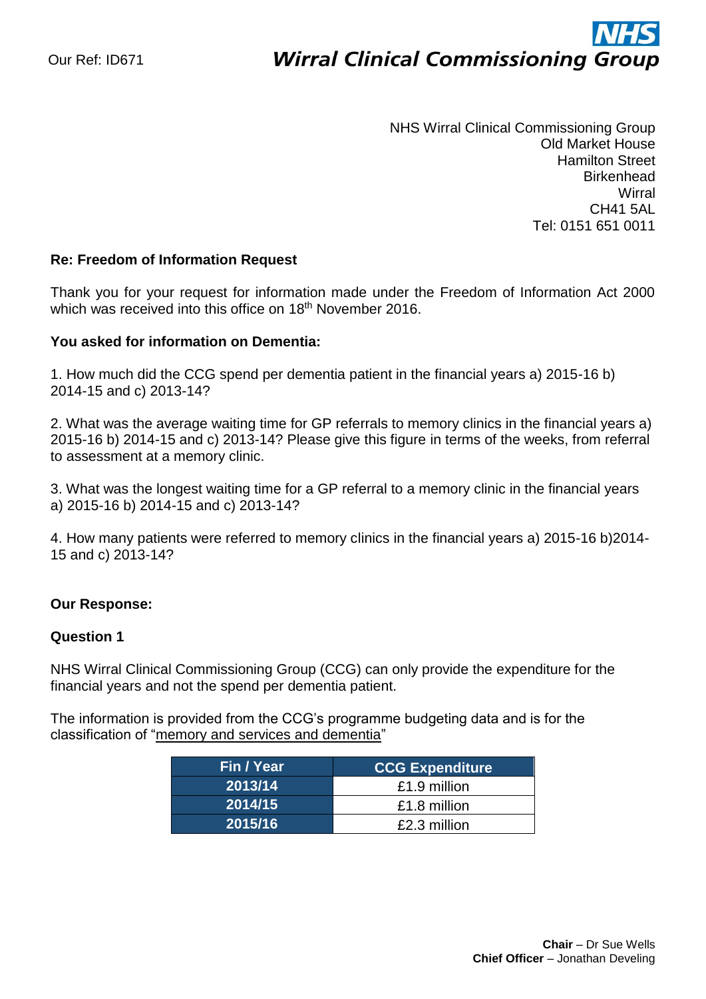# ì **Wirral Clinical Commissioning Group**

NHS Wirral Clinical Commissioning Group Old Market House Hamilton Street **Birkenhead Wirral** CH41 5AL Tel: 0151 651 0011

## **Re: Freedom of Information Request**

Thank you for your request for information made under the Freedom of Information Act 2000 which was received into this office on 18<sup>th</sup> November 2016.

## **You asked for information on Dementia:**

1. How much did the CCG spend per dementia patient in the financial years a) 2015-16 b) 2014-15 and c) 2013-14?

2. What was the average waiting time for GP referrals to memory clinics in the financial years a) 2015-16 b) 2014-15 and c) 2013-14? Please give this figure in terms of the weeks, from referral to assessment at a memory clinic.

3. What was the longest waiting time for a GP referral to a memory clinic in the financial years a) 2015-16 b) 2014-15 and c) 2013-14?

4. How many patients were referred to memory clinics in the financial years a) 2015-16 b)2014- 15 and c) 2013-14?

## **Our Response:**

#### **Question 1**

NHS Wirral Clinical Commissioning Group (CCG) can only provide the expenditure for the financial years and not the spend per dementia patient.

The information is provided from the CCG's programme budgeting data and is for the classification of "memory and services and dementia"

| Fin / Year | <b>CCG Expenditure</b> |  |  |
|------------|------------------------|--|--|
| 2013/14    | £1.9 million           |  |  |
| 2014/15    | £1.8 million           |  |  |
| 2015/16    | £2.3 million           |  |  |